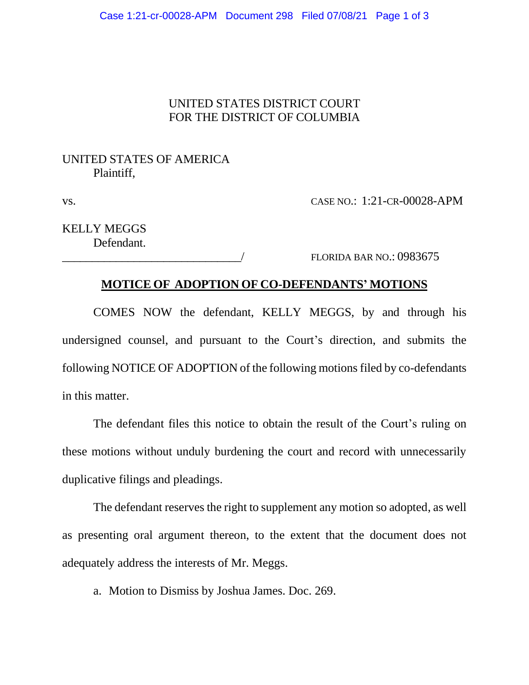## UNITED STATES DISTRICT COURT FOR THE DISTRICT OF COLUMBIA

# UNITED STATES OF AMERICA Plaintiff,

vs. CASE NO.: 1:21-CR-00028-APM

KELLY MEGGS Defendant.

FLORIDA BAR NO.: 0983675

### **MOTICE OF ADOPTION OF CO-DEFENDANTS' MOTIONS**

COMES NOW the defendant, KELLY MEGGS, by and through his undersigned counsel, and pursuant to the Court's direction, and submits the following NOTICE OF ADOPTION of the following motions filed by co-defendants in this matter.

The defendant files this notice to obtain the result of the Court's ruling on these motions without unduly burdening the court and record with unnecessarily duplicative filings and pleadings.

The defendant reserves the right to supplement any motion so adopted, as well as presenting oral argument thereon, to the extent that the document does not adequately address the interests of Mr. Meggs.

a. Motion to Dismiss by Joshua James. Doc. 269.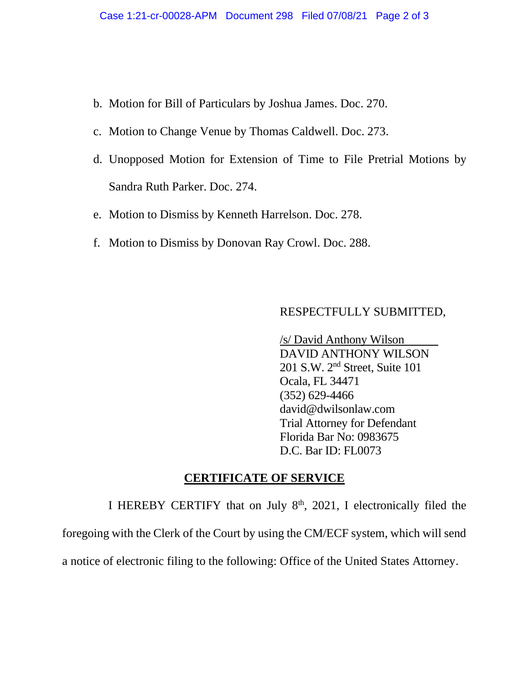- b. Motion for Bill of Particulars by Joshua James. Doc. 270.
- c. Motion to Change Venue by Thomas Caldwell. Doc. 273.
- d. Unopposed Motion for Extension of Time to File Pretrial Motions by Sandra Ruth Parker. Doc. 274.
- e. Motion to Dismiss by Kenneth Harrelson. Doc. 278.
- f. Motion to Dismiss by Donovan Ray Crowl. Doc. 288.

#### RESPECTFULLY SUBMITTED,

 /s/ David Anthony Wilson DAVID ANTHONY WILSON 201 S.W. 2nd Street, Suite 101 Ocala, FL 34471 (352) 629-4466 david@dwilsonlaw.com Trial Attorney for Defendant Florida Bar No: 0983675 D.C. Bar ID: FL0073

#### **CERTIFICATE OF SERVICE**

I HEREBY CERTIFY that on July  $8<sup>th</sup>$ , 2021, I electronically filed the foregoing with the Clerk of the Court by using the CM/ECF system, which will send a notice of electronic filing to the following: Office of the United States Attorney.